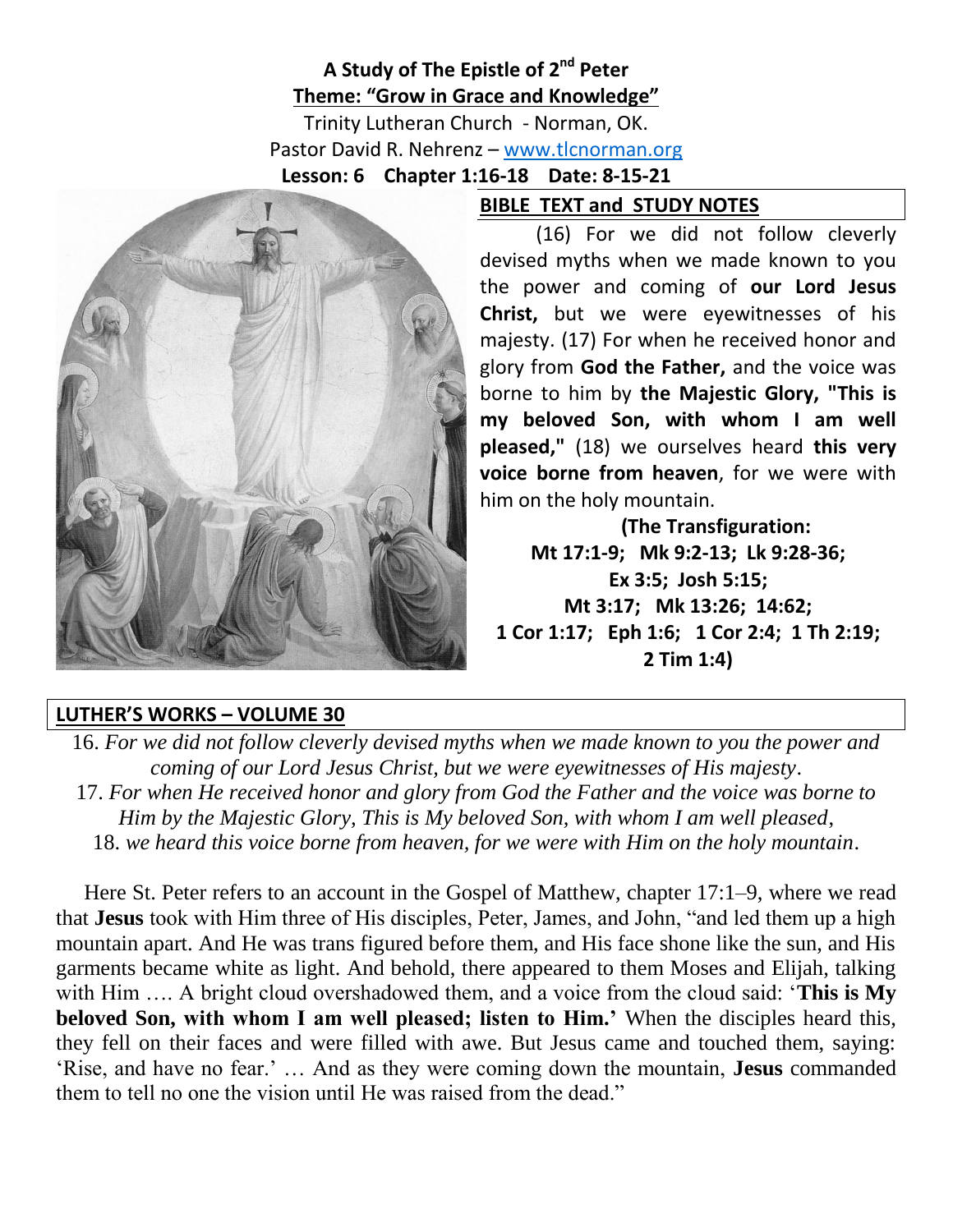## **A Study of The Epistle of 2 nd Peter Theme: "Grow in Grace and Knowledge"**

Trinity Lutheran Church - Norman, OK. Pastor David R. Nehrenz – [www.tlcnorman.org](http://www.tlcnorman.org/) **Lesson: 6 Chapter 1:16-18 Date: 8-15-21**



(16) For we did not follow cleverly devised myths when we made known to you the power and coming of **our Lord Jesus Christ,** but we were eyewitnesses of his majesty. (17) For when he received honor and glory from **God the Father,** and the voice was borne to him by **the Majestic Glory, "This is my beloved Son, with whom I am well pleased,"** (18) we ourselves heard **this very voice borne from heaven**, for we were with him on the holy mountain.

**BIBLE TEXT and STUDY NOTES**

**(The Transfiguration: Mt 17:1-9; Mk 9:2-13; Lk 9:28-36; Ex 3:5; Josh 5:15; Mt 3:17; Mk 13:26; 14:62; 1 Cor 1:17; Eph 1:6; 1 Cor 2:4; 1 Th 2:19; 2 Tim 1:4)**

## **LUTHER'S WORKS – VOLUME 30**

16. *For we did not follow cleverly devised myths when we made known to you the power and coming of our Lord Jesus Christ, but we were eyewitnesses of His majesty*. 17. *For when He received honor and glory from God the Father and the voice was borne to Him by the Majestic Glory, This is My beloved Son, with whom I am well pleased*, 18. *we heard this voice borne from heaven, for we were with Him on the holy mountain*.

Here St. Peter refers to an account in the Gospel of Matthew, chapter 17:1–9, where we read that **Jesus** took with Him three of His disciples, Peter, James, and John, "and led them up a high mountain apart. And He was trans figured before them, and His face shone like the sun, and His garments became white as light. And behold, there appeared to them Moses and Elijah, talking with Him …. A bright cloud overshadowed them, and a voice from the cloud said: '**This is My beloved Son, with whom I am well pleased; listen to Him.'** When the disciples heard this, they fell on their faces and were filled with awe. But Jesus came and touched them, saying: 'Rise, and have no fear.' … And as they were coming down the mountain, **Jesus** commanded them to tell no one the vision until He was raised from the dead."